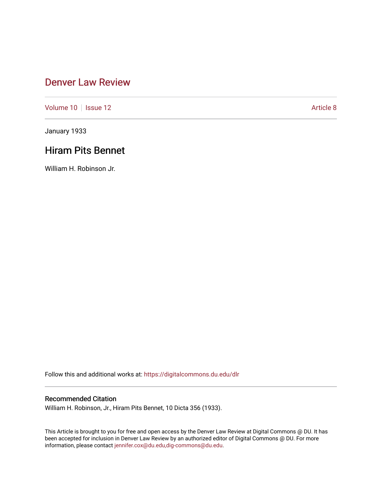## [Denver Law Review](https://digitalcommons.du.edu/dlr)

[Volume 10](https://digitalcommons.du.edu/dlr/vol10) | [Issue 12](https://digitalcommons.du.edu/dlr/vol10/iss12) Article 8

January 1933

# Hiram Pits Bennet

William H. Robinson Jr.

Follow this and additional works at: [https://digitalcommons.du.edu/dlr](https://digitalcommons.du.edu/dlr?utm_source=digitalcommons.du.edu%2Fdlr%2Fvol10%2Fiss12%2F8&utm_medium=PDF&utm_campaign=PDFCoverPages) 

### Recommended Citation

William H. Robinson, Jr., Hiram Pits Bennet, 10 Dicta 356 (1933).

This Article is brought to you for free and open access by the Denver Law Review at Digital Commons @ DU. It has been accepted for inclusion in Denver Law Review by an authorized editor of Digital Commons @ DU. For more information, please contact [jennifer.cox@du.edu,dig-commons@du.edu.](mailto:jennifer.cox@du.edu,dig-commons@du.edu)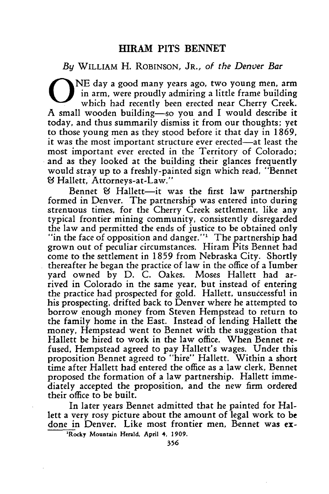### *By* WILLIAM H. ROBINSON, JR., *of the Denver Bar*

NE day a good many years ago, two young men, arm in arm, were proudly admiring a little frame building which had recently been erected near Cherry Creek. A small wooden building-so you and I would describe it today, and thus summarily dismiss it from our thoughts; yet to those young men as they stood before it that day in 1869, it was the most important structure ever erected-at least the most important ever erected in the Territory of Colorado; and as they looked at the building their glances frequently would stray up to a freshly-painted sign which read, "Bennet **1&** Hallett, Attorneys-at-Law."

Bennet **&** Hallett-it was the first law partnership formed in Denver. The partnership was entered into during strenuous times, for the Cherry Creek settlement, like any typical frontier mining community, consistently disregarded the law and permitted the ends of justice to be obtained only "in the face of opposition and danger."<sup>1</sup> The partnership had grown out of peculiar circumstances. Hiram Pits Bennet had come to the settlement in 1859 from Nebraska City. Shortly thereafter he began the practice of law in the office of a lumber yard owned by D. C. Oakes. Moses Hallett had arrived in Colorado in the same year, but instead of entering the practice had prospected for gold. Hallett, unsuccessful in his prospecting, drifted back to Denver where he attempted to borrow enough money from Steven Hempstead to return to the family home in the East. Instead of lending Hallett the money, Hempstead went to Bennet with the suggestion that Hallett be hired to work in the law office. When Bennet refused, Hempstead agreed to pay Hallett's wages. Under this proposition Bennet agreed to "hire" Hallett. Within a short time after Hallett had entered the office as a law clerk, Bennet proposed the formation of a law partnership. Hallett immediately accepted the proposition, and the new firm ordered their office to be built.

In later years Bennet admitted that he painted for Hallett a very rosy picture about the amount of legal work to be done in Denver. Like most frontier men, Bennet was ex-

**'Rocky Mountain Herald. April 4, 1909.**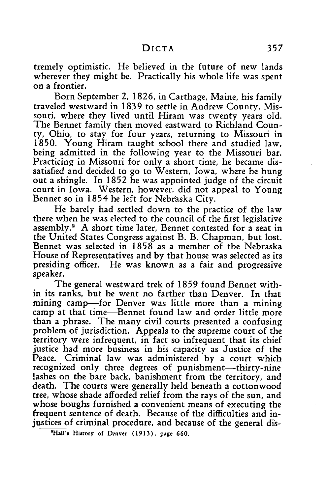tremely optimistic. He believed in the future of new lands wherever they might be. Practically his whole life was spent on a frontier.

Born September 2, 1826, in Carthage, Maine, his family traveled westward in 1839 to settle in Andrew County, Missouri, where they lived until Hiram was twenty years old. The Bennet family then moved eastward to Richland County, Ohio, to stay for four years, returning to Missouri in 1850. Young Hiram taught school there and studied law, being admitted in the following year to the Missouri bar. Practicing in Missouri for only a short time, he became dissatisfied and decided to go to Western, Iowa, where he hung out a shingle. In **1852** he was appointed judge of the circuit court in Iowa. Western, however, did not appeal to Young Bennet so in 1854 he left for Nebraska City.

He barely had settled down to the practice of the law there when he was elected to the council of the first legislative assembly.2 A short time later, Bennet contested for a seat in the United States Congress against B. B. Chapman, but lost. Bennet was selected in 1858 as a member of the Nebraska House of Representatives and by that house was selected as its presiding officer. He was known as a fair and progressive speaker.

The general westward trek of 1859 found Bennet within its ranks, but he went no farther than Denver. In that mining camp-for Denver was little more than a mining camp at that time-Bennet found law and order little more than a phrase. The many civil courts presented a confusing problem of jurisdiction. Appeals to the supreme court of the territory were infrequent, in fact so infrequent that its chief justice had more business in his capacity as Justice of the Peace. Criminal law was administered by a court which recognized only three degrees of punishment—thirty-nine lashes on the bare back, banishment from the territory, and death. The courts were generally held beneath a cottonwood tree, whose shade afforded relief from the rays of the sun, and whose boughs furnished a convenient means of executing the frequent sentence of death. Because of the difficulties and injustices of criminal procedure, and because of the general dis-

**'Hall's** History **of Denver (1913), page 660.**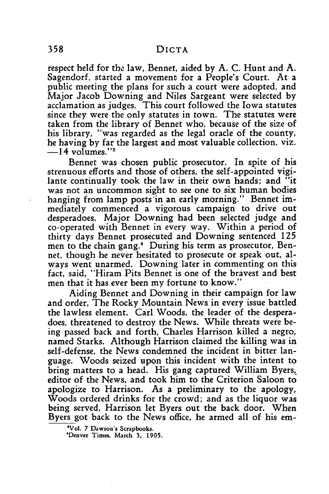respect held for the law, Bennet, aided by A. C. Hunt and A. Sagendorf, started a movement for a People's Court. At a public meeting the plans for such a court were adopted, and Major Jacob Downing and Niles Sargeant were selected **by** acclamation as judges. This court followed the Iowa statutes since they were the only statutes in town. The statutes were taken from the library of Bennet who, because of the size of his library, "was regarded as the legal oracle of the county, he having **by** far the largest and most valuable collection, viz.  $-14$  volumes."<sup>3</sup>

Bennet was chosen public prosecutor. In spite of his strenuous efforts and those of others, the self-appointed vigilante continually took the law in their own hands; and "it was not an uncommon sight to see one to six human bodies hanging from lamp posts'in an early morning." Bennet immediately commenced a vigorous campaign to drive out desperadoes. Major Downing had been selected judge and co-operated with Bennet in every way. Within a period of thirty days Bennet prosecuted and Downing sentenced **125** men to the chain gang." During his term as prosecutor, Bennet, though he never hesitated to prosecute or speak out, always went unarmed. Downing later in commenting on this fact, said, "Hiram Pits Bennet is one of the bravest and best men that it has ever been my fortune to know."

Aiding Bennet and Downing in their campaign for law and order, The Rocky Mountain News in every issue battled the lawless element. Carl Woods, the leader of the desperadoes, threatened to destroy the News. While threats were being passed back and forth, Charles Harrison killed a negro, named Starks. Although Harrison claimed the killing was in self-defense, the News condemned the incident in bitter language. Woods seized upon this incident with the intent to bring matters to a head. His gang captured William Byers, editor of the News, and took him to the Criterion Saloon to apologize to Harrison. As a preliminary to the apology, Woods ordered drinks for the crowd; and as the liquor was being served, Harrison let Byers out the back door. When Byers got back to the News office, he armed all of his em-

**<sup>&</sup>quot;Vol. 7** Dawson's **Scrapbooks.**

**<sup>&#</sup>x27;Denver** Times, March **3, 1905.**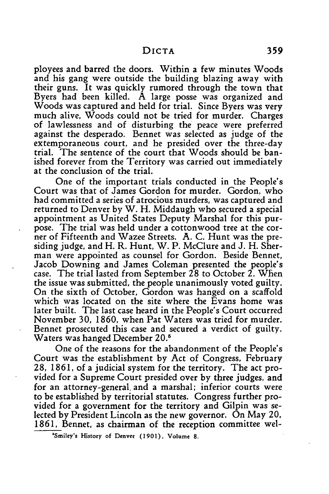ployees and barred the doors. Within a few minutes Woods and his gang were outside the building blazing away with their guns. It was quickly rumored through the town that Byers had been killed. A large posse was organized and Woods was captured and held for trial. Since Byers was very much alive, Woods could not be tried for murder. Charges of lawlessness and of disturbing the peace were preferred against the desperado. Bennet was selected as judge of the extemporaneous court, and he presided over the three-day trial. The sentence of the court that Woods should be banished forever from the Territory was carried out immediately at the conclusion of the trial.

One of the important trials conducted in the People's Court was that of James Gordon for murder. Gordon, who had committed a series of atrocious murders, was captured and returned to Denver by W. H. Middaugh who secured a special appointment as United States Deputy Marshal for this purpose. The trial was held under a cottonwood tree at the corner of Fifteenth and Wazee Streets. **A.** C. Hunt was the presiding judge, and H. R. Hunt, W. P. McClure and J. H. Sherman were appointed as counsel for Gordon. Beside Bennet, Jacob Downing and James Coleman presented the people's case. The trial lasted from September **28** to October 2. When the issue was submitted, the people unanimously voted guilty. On the sixth of October, Gordon was hanged on a scaffold which was located on the site where the Evans home was later built. The last case heard in the People's Court occurred November 30, 1860, when Pat Waters was tried for murder. Bennet prosecuted this case and secured a verdict of guilty. Waters was hanged December **20.'**

One of the reasons for the abandonment of the People's Court was the establishment **by** Act of Congress, February **28, 1861,** of a judicial system for the territory. The act provided for a Supreme Court presided over **by** three judges, and for an attorney-general, and a marshal; inferior courts were to be established **by** territorial statutes. Congress further provided for a government for the territory and Gilpin was selected **by** President Lincoln as the new governor. On May 20, **1861,** Bennet, as chairman of the reception committee wel-

**<sup>\*</sup>Smiley's History** of **Denver (1901), Volume 8.**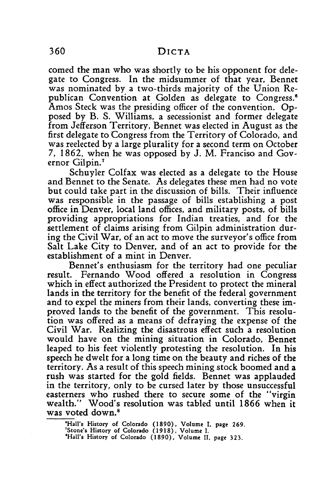comed the man who was shortly to be his opponent for delegate to Congress. In the midsummer of that year, Bennet was nominated **by** a two-thirds majority of the Union Republican Convention at Golden as delegate to Congress.<sup>6</sup> Amos Steck was the presiding officer of the convention. Opposed by B. S. Williams, a secessionist and former delegate from Jefferson Territory, Bennet was elected in August as the first delegate to Congress from the Territory of Colorado, and was reelected by a large plurality for a second term on October 7, 1862, when he was opposed by **J.** M. Franciso and Governor Gilpin.'

Schuyler Colfax was elected as a delegate to the House and Bennet to the Senate. As delegates these men had no vote but could take part in the discussion of bills. Their influence was responsible in the passage of bills establishing a post office in Denver, local land offices, and military posts, of bills providing appropriations for Indian treaties, and for the settlement of claims arising from Gilpin administration during the Civil War, of an act to move the surveyor's office from Salt Lake City to Denver, and of an act to provide for the establishment of a mint in Denver.

Bennet's enthusiasm for the territory had one peculiar result. Fernando Wood offered a resolution in Congress which in effect authorized the President to protect the mineral lands in the territory for the benefit of the federal government and to expel the miners from their lands, converting these improved lands to the benefit of the government. This resolution was offered as a means of defraying the expense of the Civil War. Realizing the disastrous effect such a resolution would have on the mining situation in Colorado, Bennet leaped to his feet violently protesting the resolution. In his speech he dwelt for a long time on the beauty and riches of the territory. As a result of this speech mining stock boomed and a rush was started for the gold fields. Bennet was applauded in the territory, only to be cursed later by those unsuccessful easterners who rushed there to secure some of the "virgin wealth." Wood's resolution was tabled until 1866 when it was voted down.<sup>8</sup>

**'Hall's History of Colorado (1890), Volume I page 269. 'Stone's History of Colorado (1918), Volume I. 'Hall's History of Colorado (1890), Volume** *II,* **page 323.**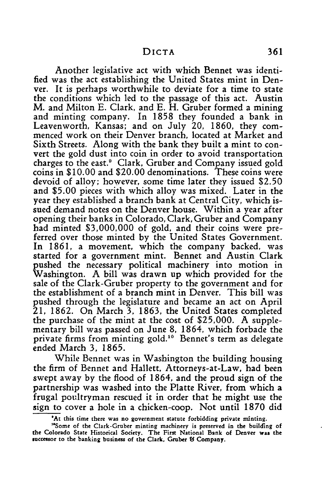Another legislative act with which Bennet was identified was the act establishing the United States mint in Denver. It is perhaps worthwhile to deviate for a time to state the conditions which led to the passage of this act. Austin M. and Milton **E.** Clark, and **E.** H. Gruber formed a mining and minting company. In **1858** they founded a bank in Leavenworth, Kansas; and on July 20, 1860, they commenced work on their Denver branch, located at Market and Sixth Streets. Along with the bank they built a mint to convert the gold dust into coin in order to avoid transportation charges to the east.' Clark, Gruber and Company issued gold coins in \$10.00 and \$20.00 denominations. These coins were devoid of alloy; however, some time later they issued \$2.50 and **\$5.00** pieces with which alloy was mixed. Later in the year they established a branch bank at Central City, which issued demand notes on the Denver house. Within a year after opening their banks in Colorado, Clark, Gruber and Company had minted \$3,000,000 of gold, and their coins were preferred over those minted **by** the United States Government. In 1861, a movement, which the company backed, was started for a government mint. Bennet and Austin Clark pushed the necessary political machinery into motion in Washington. A bill was drawn up which provided for the sale of the Clark-Gruber property to the government and for the establishment of a branch mint in Denver. This bill was pushed through the legislature and became an act on April 21, 1862. On March **3, 1863,** the United States completed the purchase of the mint at the cost of \$25,000. A supplementary bill was passed on June **8,** 1864, which forbade the private firms from minting gold."° Bennet's term as delegate ended March **3, 1865.**

While Bennet was in Washington the building housing the firm of Bennet and Hallett, Attorneys-at-Law, had been swept away by the flood of 1864, and the proud sign of the partnership was washed into the Platte River, from which a frugal poultryman rescued it in order that he might use the sign to cover a hole in a chicken-coop. Not until **1870** did

**<sup>&#</sup>x27;At this time there** was **no government statute forbidding** private **minting.**

<sup>&</sup>quot;Some **of the** Clark-Gruber minting machinery is **preserved** in the **building of** the **Colorado** State Historical Society. The **First** National **Bank of** Denver was the **succeasor to** the banking business **of** the Clark, **Gruber V Company.**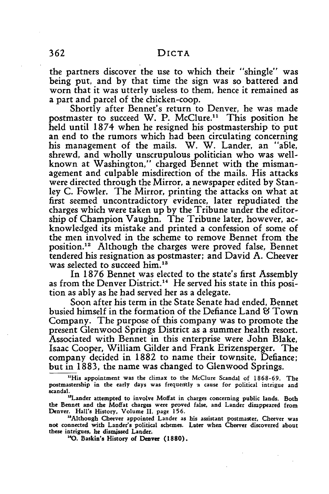the partners discover the use to which their "shingle" was being put, and by that time the sign was so battered and worn that it was utterly useless to them, hence it remained as a part and parcel of the chicken-coop.

Shortly after Bennet's return to Denver, he was made postmaster to succeed W. P. McClure.<sup>11</sup> This position he held until 1874 when he resigned his postmastership to put an end to the rumors which had been circulating concerning his management of the mails. W. W. Lander, an "able, shrewd, and wholly unscrupulous politician who was wellknown at Washington," charged Bennet with the mismanagement and culpable misdirection of the mails. His attacks were directed through the Mirror, a newspaper edited by Stanley C. Fowler. The Mirror, printing the attacks on what at first seemed uncontradictory evidence, later repudiated the charges which were taken up by the Tribune under the editorship of Champion Vaughn. The Tribune later, however, acknowledged its mistake and printed a confession of some of the men involved in the scheme to remove Bennet from the position.12 Although the charges were proved false, Bennet tendered his resignation as postmaster; and David A. Cheever was selected to succeed him.<sup>13</sup>

In 1876 Bennet was elected to the state's first Assembly as from the Denver District.<sup>14</sup> He served his state in this position as ably as he had served her as a delegate.

Soon after his term in the State Senate had ended, Bennet busied himself in the formation of the Defiance Land & Town Company. The purpose of this company was to promote the present Glenwood Springs District as a summer health resort. Associated with Bennet in this enterprise were John Blake, Isaac Cooper, William Gilder and Frank Erizensperger. The company decided in 1882 to name their townsite, Defiance; but in 1883, the name was changed to Glenwood Springs.

'His appointment was the climax to the McClure Scandal of 1868-69. The postmastership in the early days was frequeritly **a** cause for political intrigue and scandal.

<sup>13</sup>Lander attempted to involve Moffat in charges concerning public lands. Both the Bennet and the Moffat charges were proved false, and Lander disappeared from Denver. Hall's History, Volume II, page 156.

<sup>18</sup>Although Cheever appointed Lander as his assistant postmaster, Cheever was not connected with Lander's political schemes. Later when Cheever discovered about these intrigues, he dismissed Lander.

**"0.** Baskin's History of Denver **(1880).**